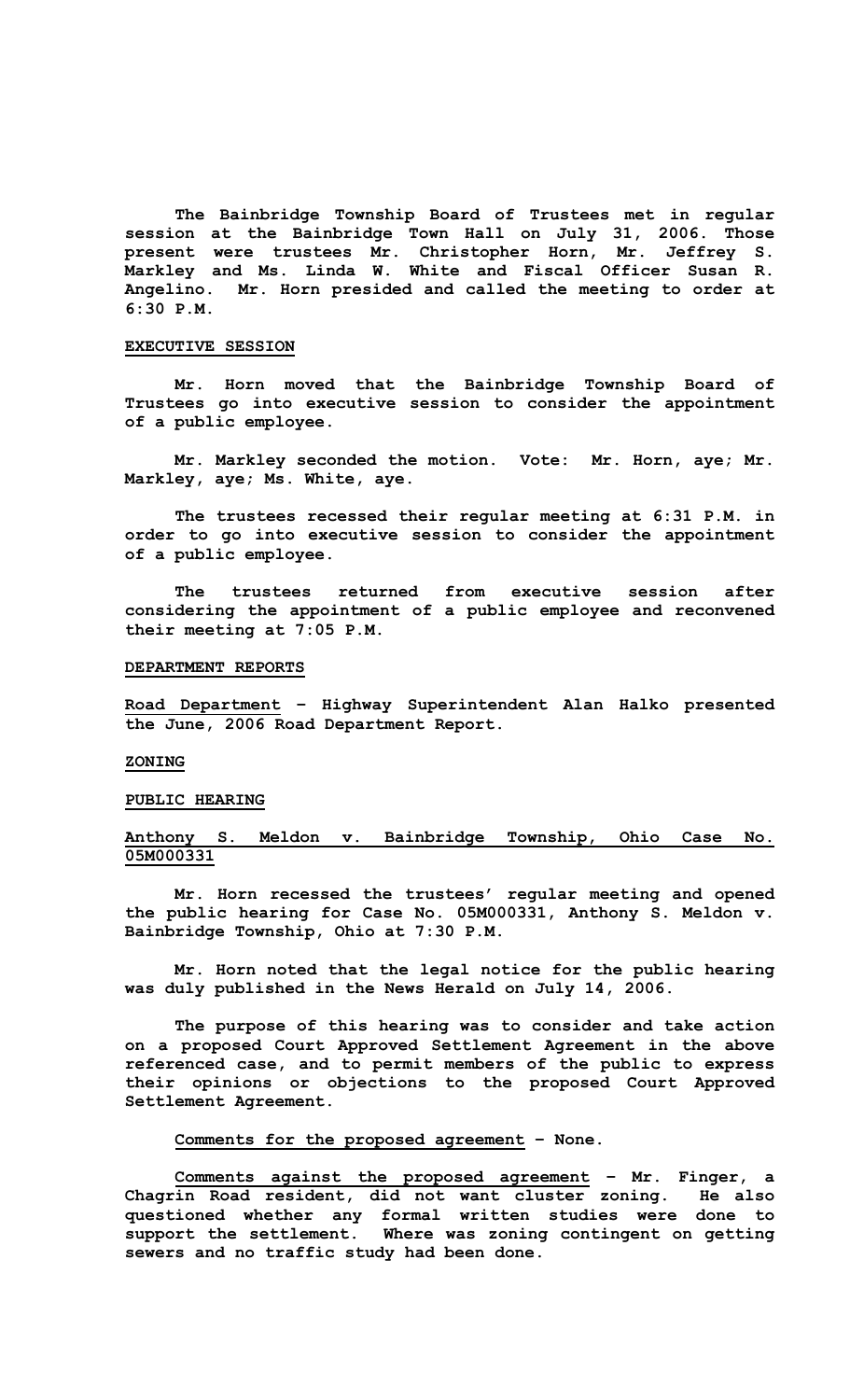**The Bainbridge Township Board of Trustees met in regular session at the Bainbridge Town Hall on July 31, 2006. Those present were trustees Mr. Christopher Horn, Mr. Jeffrey S. Markley and Ms. Linda W. White and Fiscal Officer Susan R. Angelino. Mr. Horn presided and called the meeting to order at 6:30 P.M.** 

## **EXECUTIVE SESSION**

**Mr. Horn moved that the Bainbridge Township Board of Trustees go into executive session to consider the appointment of a public employee.** 

 **Mr. Markley seconded the motion. Vote: Mr. Horn, aye; Mr. Markley, aye; Ms. White, aye.** 

**The trustees recessed their regular meeting at 6:31 P.M. in order to go into executive session to consider the appointment of a public employee.** 

 **The trustees returned from executive session after considering the appointment of a public employee and reconvened their meeting at 7:05 P.M.** 

# **DEPARTMENT REPORTS**

**Road Department – Highway Superintendent Alan Halko presented the June, 2006 Road Department Report.** 

# **ZONING**

## **PUBLIC HEARING**

# **Anthony S. Meldon v. Bainbridge Township, Ohio Case No. 05M000331**

 **Mr. Horn recessed the trustees' regular meeting and opened the public hearing for Case No. 05M000331, Anthony S. Meldon v. Bainbridge Township, Ohio at 7:30 P.M.** 

 **Mr. Horn noted that the legal notice for the public hearing was duly published in the News Herald on July 14, 2006.** 

 **The purpose of this hearing was to consider and take action on a proposed Court Approved Settlement Agreement in the above referenced case, and to permit members of the public to express their opinions or objections to the proposed Court Approved Settlement Agreement.** 

## **Comments for the proposed agreement – None.**

**Comments against the proposed agreement – Mr. Finger, a Chagrin Road resident, did not want cluster zoning. He also questioned whether any formal written studies were done to support the settlement. Where was zoning contingent on getting sewers and no traffic study had been done.**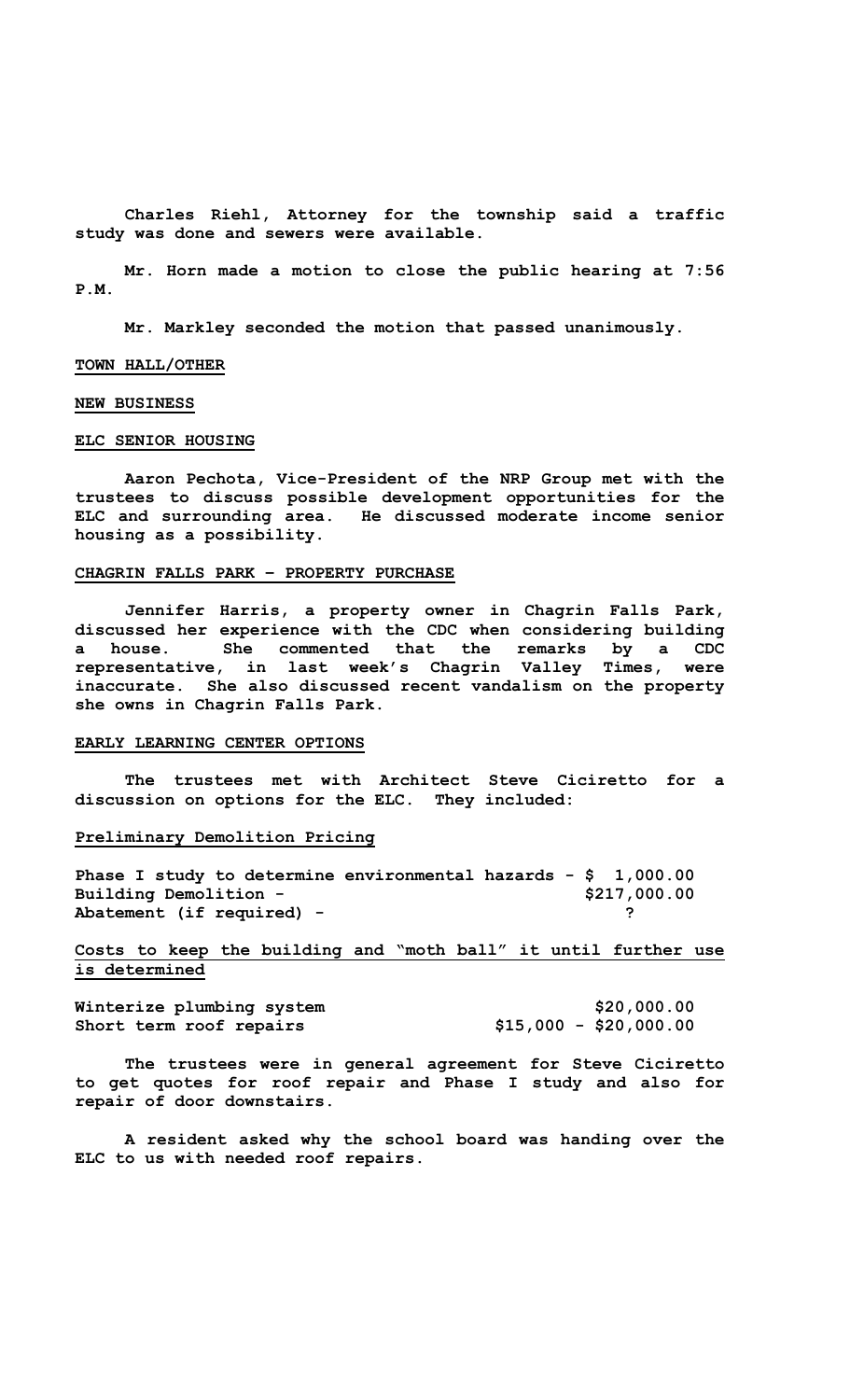**Charles Riehl, Attorney for the township said a traffic study was done and sewers were available.** 

 **Mr. Horn made a motion to close the public hearing at 7:56 P.M.** 

**Mr. Markley seconded the motion that passed unanimously.** 

## **TOWN HALL/OTHER**

### **NEW BUSINESS**

### **ELC SENIOR HOUSING**

 **Aaron Pechota, Vice-President of the NRP Group met with the trustees to discuss possible development opportunities for the ELC and surrounding area. He discussed moderate income senior housing as a possibility.** 

#### **CHAGRIN FALLS PARK – PROPERTY PURCHASE**

 **Jennifer Harris, a property owner in Chagrin Falls Park, discussed her experience with the CDC when considering building a house. She commented that the remarks by a CDC representative, in last week's Chagrin Valley Times, were inaccurate. She also discussed recent vandalism on the property she owns in Chagrin Falls Park.** 

# **EARLY LEARNING CENTER OPTIONS**

 **The trustees met with Architect Steve Ciciretto for a discussion on options for the ELC. They included:** 

# **Preliminary Demolition Pricing**

**Phase I study to determine environmental hazards - \$ 1,000.00 Building Demolition - \$217,000.00** Abatement (if required) - **Particular 1996** 2

# **Costs to keep the building and "moth ball" it until further use is determined**

Winterize plumbing system  $$20,000.00$ **Short term roof repairs \$15,000 - \$20,000.00** 

 **The trustees were in general agreement for Steve Ciciretto to get quotes for roof repair and Phase I study and also for repair of door downstairs.** 

 **A resident asked why the school board was handing over the ELC to us with needed roof repairs.**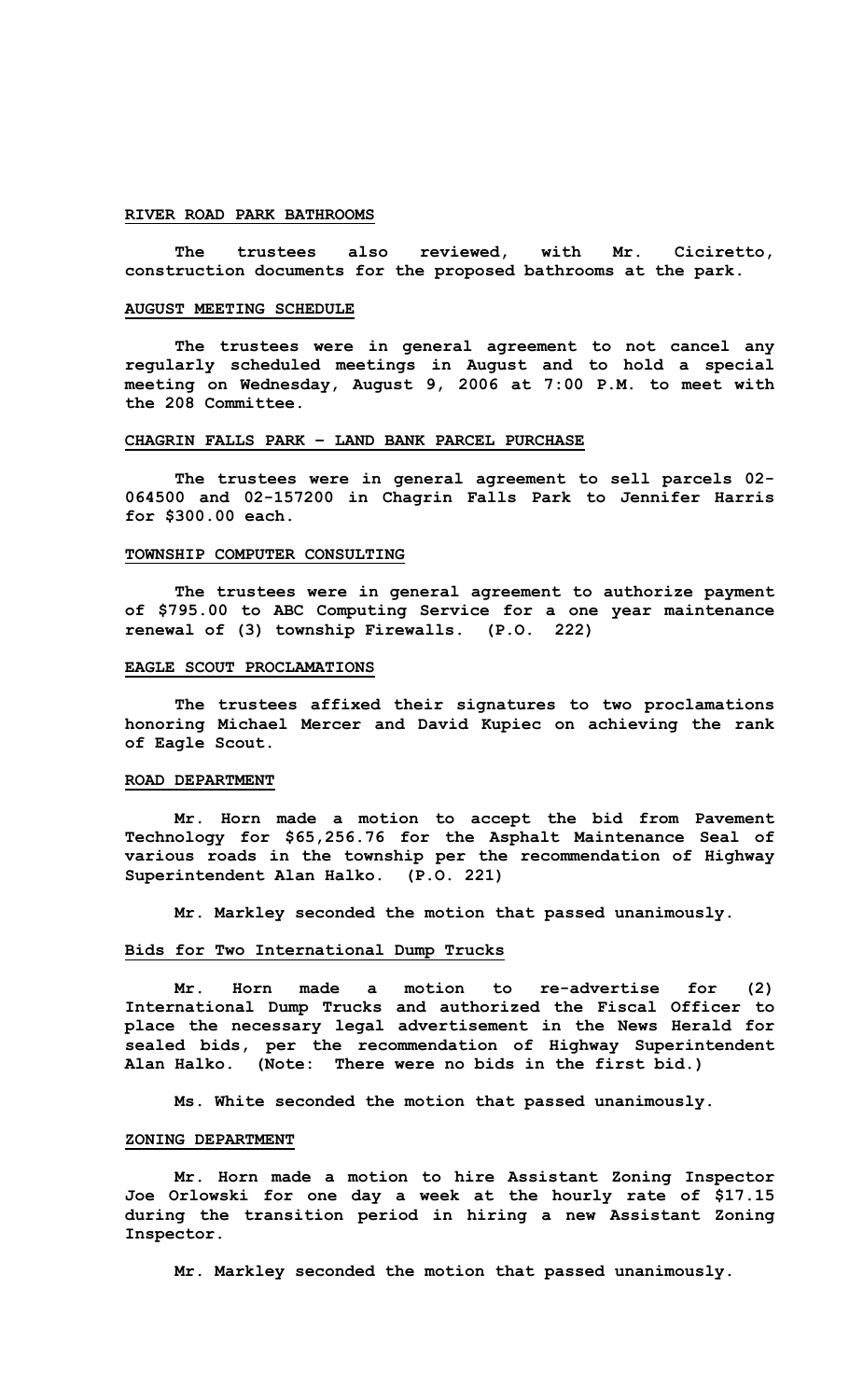### **RIVER ROAD PARK BATHROOMS**

 **The trustees also reviewed, with Mr. Ciciretto, construction documents for the proposed bathrooms at the park.** 

#### **AUGUST MEETING SCHEDULE**

 **The trustees were in general agreement to not cancel any regularly scheduled meetings in August and to hold a special meeting on Wednesday, August 9, 2006 at 7:00 P.M. to meet with the 208 Committee.** 

# **CHAGRIN FALLS PARK – LAND BANK PARCEL PURCHASE**

 **The trustees were in general agreement to sell parcels 02- 064500 and 02-157200 in Chagrin Falls Park to Jennifer Harris for \$300.00 each.** 

### **TOWNSHIP COMPUTER CONSULTING**

 **The trustees were in general agreement to authorize payment of \$795.00 to ABC Computing Service for a one year maintenance renewal of (3) township Firewalls. (P.O. 222)** 

#### **EAGLE SCOUT PROCLAMATIONS**

 **The trustees affixed their signatures to two proclamations honoring Michael Mercer and David Kupiec on achieving the rank of Eagle Scout.** 

## **ROAD DEPARTMENT**

 **Mr. Horn made a motion to accept the bid from Pavement Technology for \$65,256.76 for the Asphalt Maintenance Seal of various roads in the township per the recommendation of Highway Superintendent Alan Halko. (P.O. 221)** 

**Mr. Markley seconded the motion that passed unanimously.** 

#### **Bids for Two International Dump Trucks**

 **Mr. Horn made a motion to re-advertise for (2) International Dump Trucks and authorized the Fiscal Officer to place the necessary legal advertisement in the News Herald for sealed bids, per the recommendation of Highway Superintendent Alan Halko. (Note: There were no bids in the first bid.)** 

**Ms. White seconded the motion that passed unanimously.** 

## **ZONING DEPARTMENT**

 **Mr. Horn made a motion to hire Assistant Zoning Inspector Joe Orlowski for one day a week at the hourly rate of \$17.15 during the transition period in hiring a new Assistant Zoning Inspector.** 

**Mr. Markley seconded the motion that passed unanimously.**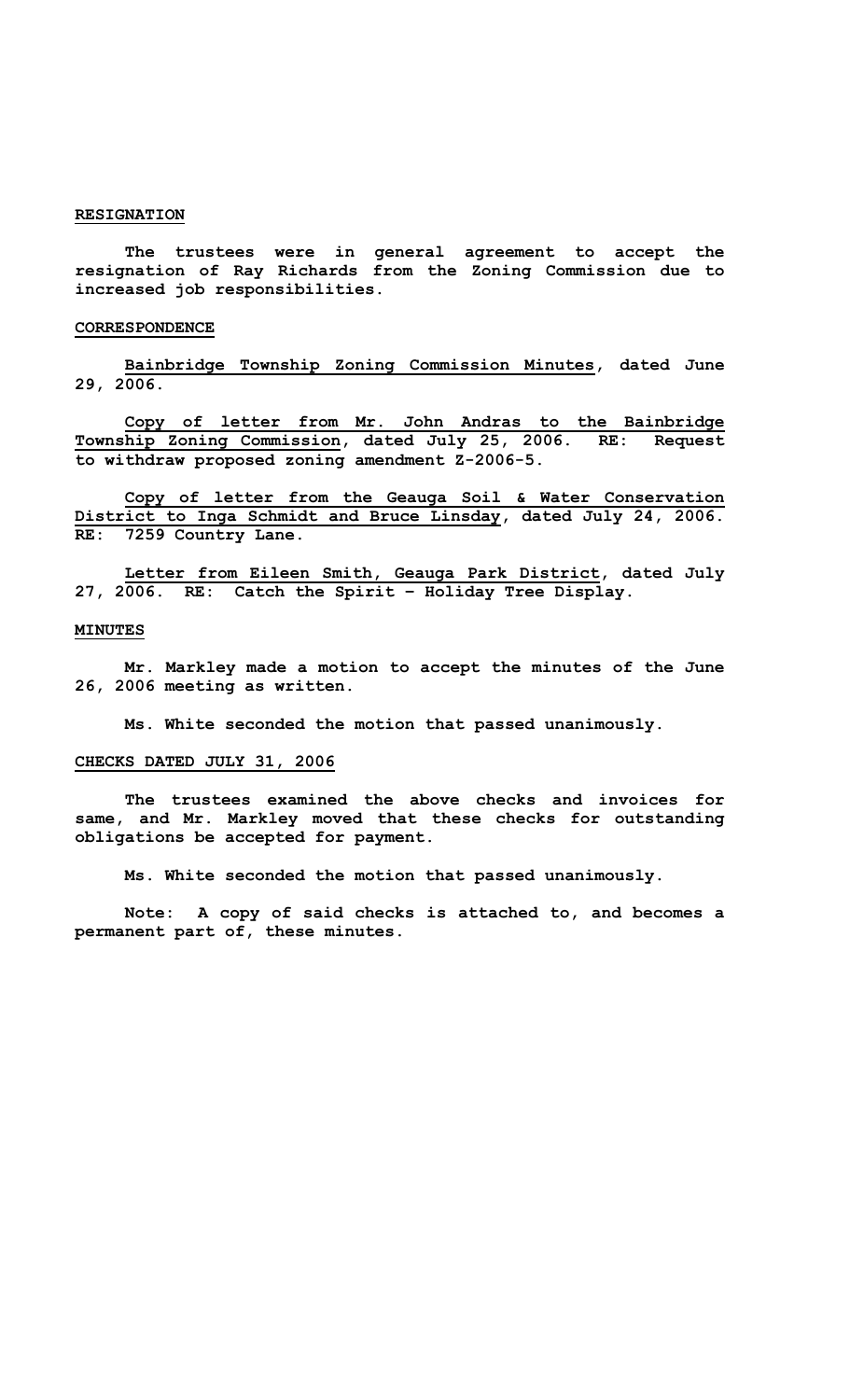# **RESIGNATION**

 **The trustees were in general agreement to accept the resignation of Ray Richards from the Zoning Commission due to increased job responsibilities.** 

#### **CORRESPONDENCE**

**Bainbridge Township Zoning Commission Minutes, dated June 29, 2006.** 

**Copy of letter from Mr. John Andras to the Bainbridge Township Zoning Commission, dated July 25, 2006. RE: Request to withdraw proposed zoning amendment Z-2006-5.** 

**Copy of letter from the Geauga Soil & Water Conservation District to Inga Schmidt and Bruce Linsday, dated July 24, 2006. RE: 7259 Country Lane.** 

**Letter from Eileen Smith, Geauga Park District, dated July 27, 2006. RE: Catch the Spirit – Holiday Tree Display.** 

#### **MINUTES**

 **Mr. Markley made a motion to accept the minutes of the June 26, 2006 meeting as written.** 

**Ms. White seconded the motion that passed unanimously.** 

# **CHECKS DATED JULY 31, 2006**

 **The trustees examined the above checks and invoices for same, and Mr. Markley moved that these checks for outstanding obligations be accepted for payment.** 

**Ms. White seconded the motion that passed unanimously.** 

**Note: A copy of said checks is attached to, and becomes a permanent part of, these minutes.**